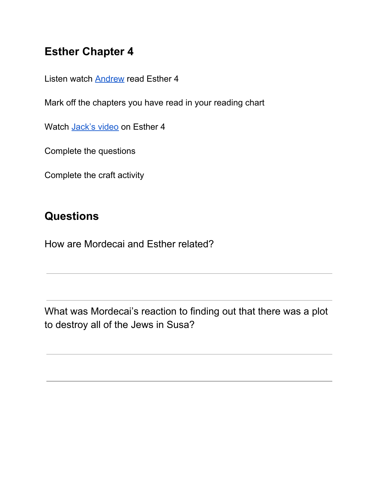## **Esther Chapter 4**

Listen watch [Andrew](https://www.legana.org/kids/) read Esther 4

Mark off the chapters you have read in your reading chart

Watch [Jack's](https://www.legana.org/kids/chillies/) video on Esther 4

Complete the questions

Complete the craft activity

## **Questions**

How are Mordecai and Esther related?

What was Mordecai's reaction to finding out that there was a plot to destroy all of the Jews in Susa?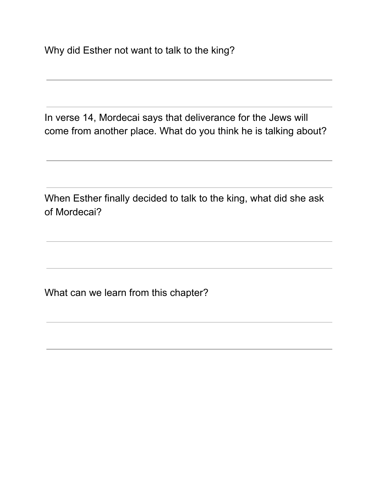Why did Esther not want to talk to the king?

In verse 14, Mordecai says that deliverance for the Jews will come from another place. What do you think he is talking about?

When Esther finally decided to talk to the king, what did she ask of Mordecai?

What can we learn from this chapter?